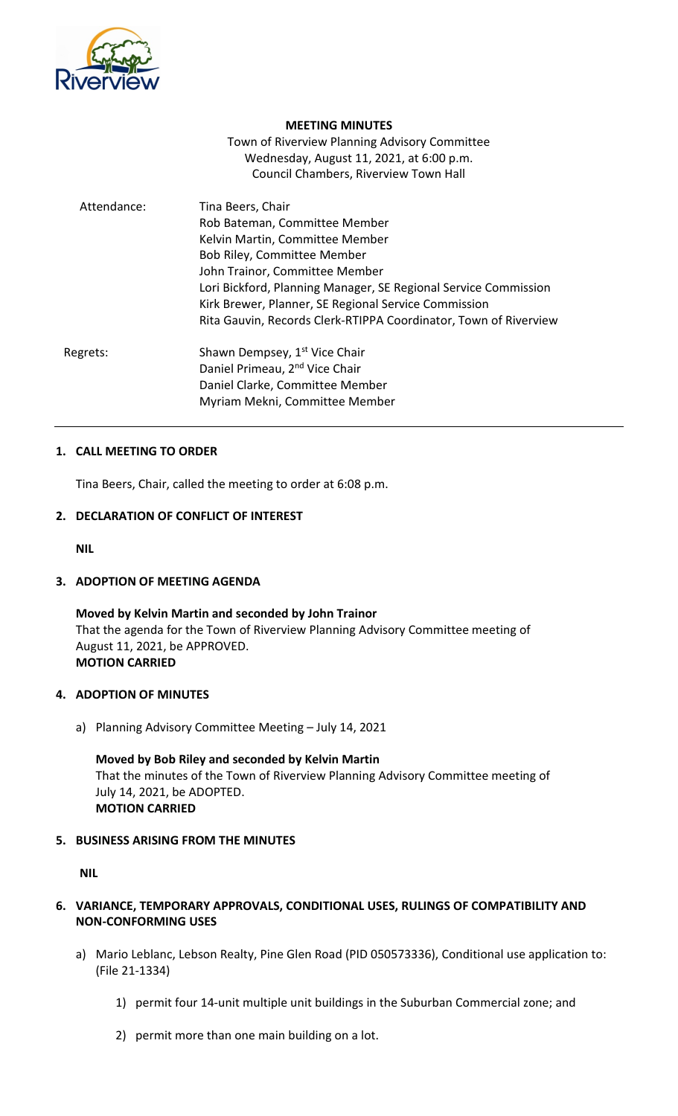

#### **MEETING MINUTES**

Town of Riverview Planning Advisory Committee Wednesday, August 11, 2021, at 6:00 p.m. Council Chambers, Riverview Town Hall

| Attendance: | Tina Beers, Chair<br>Rob Bateman, Committee Member               |
|-------------|------------------------------------------------------------------|
|             | Kelvin Martin, Committee Member                                  |
|             | Bob Riley, Committee Member                                      |
|             | John Trainor, Committee Member                                   |
|             | Lori Bickford, Planning Manager, SE Regional Service Commission  |
|             | Kirk Brewer, Planner, SE Regional Service Commission             |
|             | Rita Gauvin, Records Clerk-RTIPPA Coordinator, Town of Riverview |
| Regrets:    | Shawn Dempsey, 1 <sup>st</sup> Vice Chair                        |
|             | Daniel Primeau, 2 <sup>nd</sup> Vice Chair                       |
|             | Daniel Clarke, Committee Member                                  |
|             | Myriam Mekni, Committee Member                                   |

#### **1. CALL MEETING TO ORDER**

Tina Beers, Chair, called the meeting to order at 6:08 p.m.

#### **2. DECLARATION OF CONFLICT OF INTEREST**

**NIL**

# **3. ADOPTION OF MEETING AGENDA**

**Moved by Kelvin Martin and seconded by John Trainor** That the agenda for the Town of Riverview Planning Advisory Committee meeting of August 11, 2021, be APPROVED. **MOTION CARRIED**

#### **4. ADOPTION OF MINUTES**

a) Planning Advisory Committee Meeting – July 14, 2021

**Moved by Bob Riley and seconded by Kelvin Martin** That the minutes of the Town of Riverview Planning Advisory Committee meeting of July 14, 2021, be ADOPTED. **MOTION CARRIED**

## **5. BUSINESS ARISING FROM THE MINUTES**

**NIL**

- **6. VARIANCE, TEMPORARY APPROVALS, CONDITIONAL USES, RULINGS OF COMPATIBILITY AND NON-CONFORMING USES**
	- a) Mario Leblanc, Lebson Realty, Pine Glen Road (PID 050573336), Conditional use application to: (File 21-1334)
		- 1) permit four 14-unit multiple unit buildings in the Suburban Commercial zone; and
		- 2) permit more than one main building on a lot.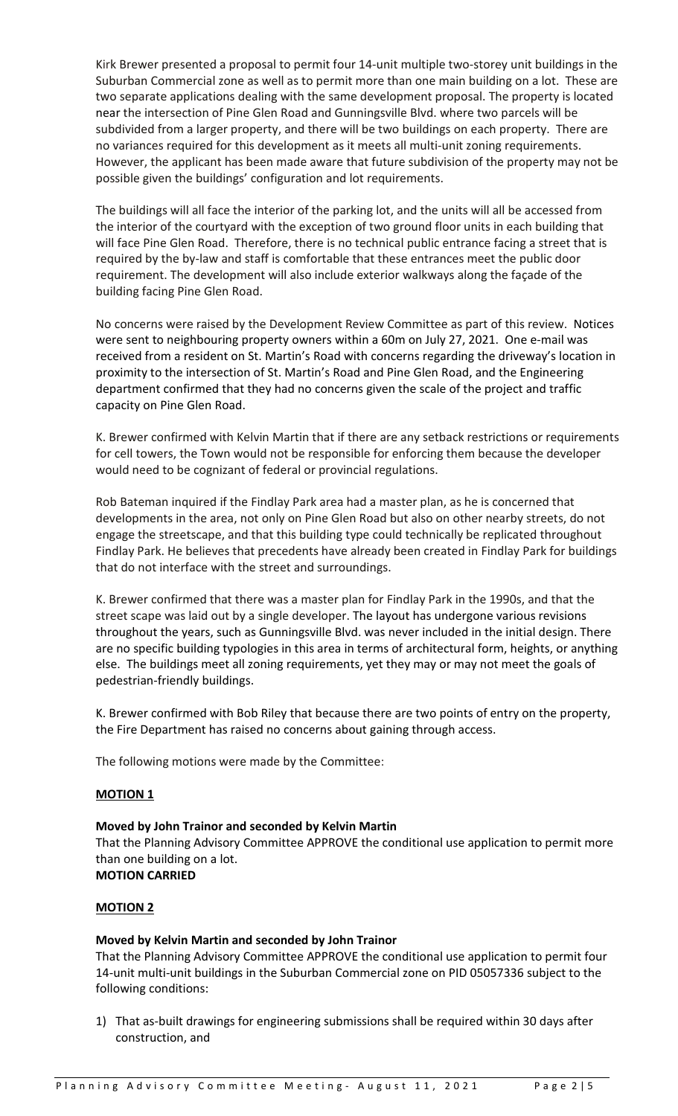Kirk Brewer presented a proposal to permit four 14-unit multiple two-storey unit buildings in the Suburban Commercial zone as well as to permit more than one main building on a lot. These are two separate applications dealing with the same development proposal. The property is located near the intersection of Pine Glen Road and Gunningsville Blvd. where two parcels will be subdivided from a larger property, and there will be two buildings on each property. There are no variances required for this development as it meets all multi-unit zoning requirements. However, the applicant has been made aware that future subdivision of the property may not be possible given the buildings' configuration and lot requirements.

The buildings will all face the interior of the parking lot, and the units will all be accessed from the interior of the courtyard with the exception of two ground floor units in each building that will face Pine Glen Road. Therefore, there is no technical public entrance facing a street that is required by the by-law and staff is comfortable that these entrances meet the public door requirement. The development will also include exterior walkways along the façade of the building facing Pine Glen Road.

No concerns were raised by the Development Review Committee as part of this review. Notices were sent to neighbouring property owners within a 60m on July 27, 2021. One e-mail was received from a resident on St. Martin's Road with concerns regarding the driveway's location in proximity to the intersection of St. Martin's Road and Pine Glen Road, and the Engineering department confirmed that they had no concerns given the scale of the project and traffic capacity on Pine Glen Road.

K. Brewer confirmed with Kelvin Martin that if there are any setback restrictions or requirements for cell towers, the Town would not be responsible for enforcing them because the developer would need to be cognizant of federal or provincial regulations.

Rob Bateman inquired if the Findlay Park area had a master plan, as he is concerned that developments in the area, not only on Pine Glen Road but also on other nearby streets, do not engage the streetscape, and that this building type could technically be replicated throughout Findlay Park. He believes that precedents have already been created in Findlay Park for buildings that do not interface with the street and surroundings.

K. Brewer confirmed that there was a master plan for Findlay Park in the 1990s, and that the street scape was laid out by a single developer. The layout has undergone various revisions throughout the years, such as Gunningsville Blvd. was never included in the initial design. There are no specific building typologies in this area in terms of architectural form, heights, or anything else. The buildings meet all zoning requirements, yet they may or may not meet the goals of pedestrian-friendly buildings.

K. Brewer confirmed with Bob Riley that because there are two points of entry on the property, the Fire Department has raised no concerns about gaining through access.

The following motions were made by the Committee:

## **MOTION 1**

## **Moved by John Trainor and seconded by Kelvin Martin**

That the Planning Advisory Committee APPROVE the conditional use application to permit more than one building on a lot.

**MOTION CARRIED**

#### **MOTION 2**

## **Moved by Kelvin Martin and seconded by John Trainor**

That the Planning Advisory Committee APPROVE the conditional use application to permit four 14-unit multi-unit buildings in the Suburban Commercial zone on PID 05057336 subject to the following conditions:

1) That as-built drawings for engineering submissions shall be required within 30 days after construction, and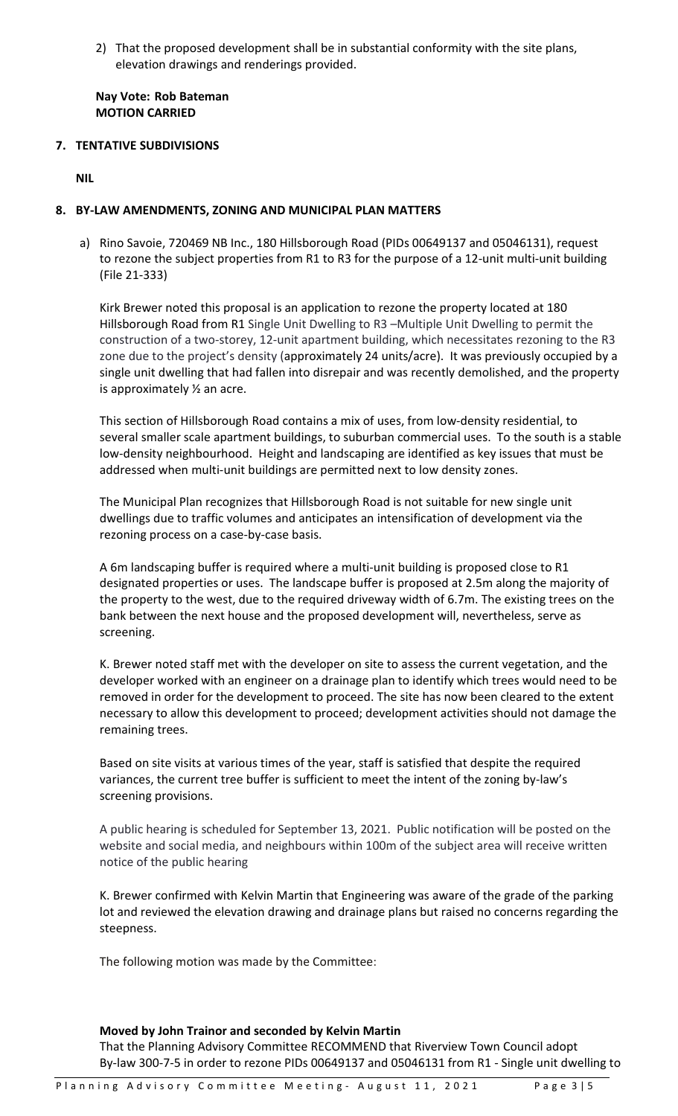2) That the proposed development shall be in substantial conformity with the site plans, elevation drawings and renderings provided.

**Nay Vote: Rob Bateman MOTION CARRIED**

**7. TENTATIVE SUBDIVISIONS**

**NIL**

#### **8. BY-LAW AMENDMENTS, ZONING AND MUNICIPAL PLAN MATTERS**

a) Rino Savoie, 720469 NB Inc., 180 Hillsborough Road (PIDs 00649137 and 05046131), request to rezone the subject properties from R1 to R3 for the purpose of a 12-unit multi-unit building (File 21-333)

Kirk Brewer noted this proposal is an application to rezone the property located at 180 Hillsborough Road from R1 Single Unit Dwelling to R3 –Multiple Unit Dwelling to permit the construction of a two-storey, 12-unit apartment building, which necessitates rezoning to the R3 zone due to the project's density (approximately 24 units/acre). It was previously occupied by a single unit dwelling that had fallen into disrepair and was recently demolished, and the property is approximately ½ an acre.

This section of Hillsborough Road contains a mix of uses, from low-density residential, to several smaller scale apartment buildings, to suburban commercial uses. To the south is a stable low-density neighbourhood. Height and landscaping are identified as key issues that must be addressed when multi-unit buildings are permitted next to low density zones.

The Municipal Plan recognizes that Hillsborough Road is not suitable for new single unit dwellings due to traffic volumes and anticipates an intensification of development via the rezoning process on a case-by-case basis.

A 6m landscaping buffer is required where a multi-unit building is proposed close to R1 designated properties or uses. The landscape buffer is proposed at 2.5m along the majority of the property to the west, due to the required driveway width of 6.7m. The existing trees on the bank between the next house and the proposed development will, nevertheless, serve as screening.

K. Brewer noted staff met with the developer on site to assess the current vegetation, and the developer worked with an engineer on a drainage plan to identify which trees would need to be removed in order for the development to proceed. The site has now been cleared to the extent necessary to allow this development to proceed; development activities should not damage the remaining trees.

Based on site visits at various times of the year, staff is satisfied that despite the required variances, the current tree buffer is sufficient to meet the intent of the zoning by-law's screening provisions.

A public hearing is scheduled for September 13, 2021. Public notification will be posted on the website and social media, and neighbours within 100m of the subject area will receive written notice of the public hearing

K. Brewer confirmed with Kelvin Martin that Engineering was aware of the grade of the parking lot and reviewed the elevation drawing and drainage plans but raised no concerns regarding the steepness.

The following motion was made by the Committee:

#### **Moved by John Trainor and seconded by Kelvin Martin**

That the Planning Advisory Committee RECOMMEND that Riverview Town Council adopt By-law 300-7-5 in order to rezone PIDs 00649137 and 05046131 from R1 - Single unit dwelling to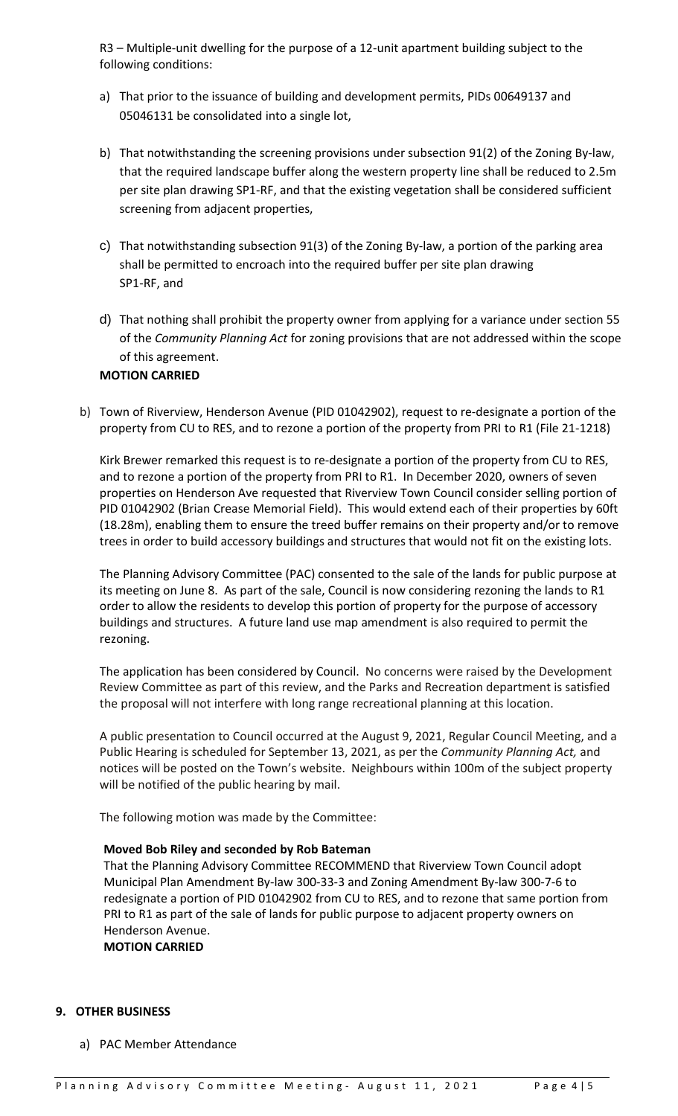R3 – Multiple-unit dwelling for the purpose of a 12-unit apartment building subject to the following conditions:

- a) That prior to the issuance of building and development permits, PIDs 00649137 and 05046131 be consolidated into a single lot,
- b) That notwithstanding the screening provisions under subsection 91(2) of the Zoning By-law, that the required landscape buffer along the western property line shall be reduced to 2.5m per site plan drawing SP1-RF, and that the existing vegetation shall be considered sufficient screening from adjacent properties,
- c) That notwithstanding subsection 91(3) of the Zoning By-law, a portion of the parking area shall be permitted to encroach into the required buffer per site plan drawing SP1-RF, and
- d) That nothing shall prohibit the property owner from applying for a variance under section 55 of the *Community Planning Act* for zoning provisions that are not addressed within the scope of this agreement.

## **MOTION CARRIED**

b) Town of Riverview, Henderson Avenue (PID 01042902), request to re-designate a portion of the property from CU to RES, and to rezone a portion of the property from PRI to R1 (File 21-1218)

Kirk Brewer remarked this request is to re-designate a portion of the property from CU to RES, and to rezone a portion of the property from PRI to R1. In December 2020, owners of seven properties on Henderson Ave requested that Riverview Town Council consider selling portion of PID 01042902 (Brian Crease Memorial Field). This would extend each of their properties by 60ft (18.28m), enabling them to ensure the treed buffer remains on their property and/or to remove trees in order to build accessory buildings and structures that would not fit on the existing lots.

The Planning Advisory Committee (PAC) consented to the sale of the lands for public purpose at its meeting on June 8. As part of the sale, Council is now considering rezoning the lands to R1 order to allow the residents to develop this portion of property for the purpose of accessory buildings and structures. A future land use map amendment is also required to permit the rezoning.

The application has been considered by Council. No concerns were raised by the Development Review Committee as part of this review, and the Parks and Recreation department is satisfied the proposal will not interfere with long range recreational planning at this location.

A public presentation to Council occurred at the August 9, 2021, Regular Council Meeting, and a Public Hearing is scheduled for September 13, 2021, as per the *Community Planning Act,* and notices will be posted on the Town's website. Neighbours within 100m of the subject property will be notified of the public hearing by mail.

The following motion was made by the Committee:

## **Moved Bob Riley and seconded by Rob Bateman**

That the Planning Advisory Committee RECOMMEND that Riverview Town Council adopt Municipal Plan Amendment By-law 300-33-3 and Zoning Amendment By-law 300-7-6 to redesignate a portion of PID 01042902 from CU to RES, and to rezone that same portion from PRI to R1 as part of the sale of lands for public purpose to adjacent property owners on Henderson Avenue.

**MOTION CARRIED**

## **9. OTHER BUSINESS**

a) PAC Member Attendance